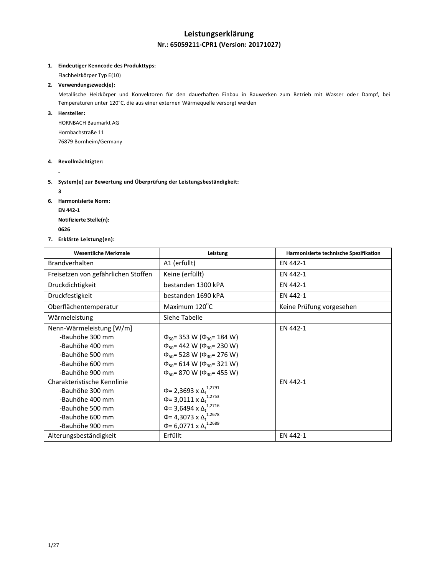# **Leistungserklärung Nr.: 65059211-CPR1 (Version: 20171027)**

#### **1. Eindeutiger Kenncode des Produkttyps:**

Flachheizkörper Typ E(10)

### **2. Verwendungszweck(e):**

Metallische Heizkörper und Konvektoren für den dauerhaften Einbau in Bauwerken zum Betrieb mit Wasser oder Dampf, bei Temperaturen unter 120°C, die aus einer externen Wärmequelle versorgt werden

#### **3. Hersteller:**

HORNBACH Baumarkt AG Hornbachstraße 11 76879 Bornheim/Germany

#### **4. Bevollmächtigter:**

**-**

#### **5. System(e) zur Bewertung und Überprüfung der Leistungsbeständigkeit:**

**3**

- **6. Harmonisierte Norm:**
	- **EN 442-1**

**Notifizierte Stelle(n):**

- **<sup>0626</sup>**
- **7. Erklärte Leistung(en):**

| <b>Wesentliche Merkmale</b>         | Leistung                                     | Harmonisierte technische Spezifikation |
|-------------------------------------|----------------------------------------------|----------------------------------------|
| <b>Brandverhalten</b>               | A1 (erfüllt)                                 | EN 442-1                               |
| Freisetzen von gefährlichen Stoffen | Keine (erfüllt)                              | EN 442-1                               |
| Druckdichtigkeit                    | bestanden 1300 kPA                           | EN 442-1                               |
| Druckfestigkeit                     | bestanden 1690 kPA                           | EN 442-1                               |
| Oberflächentemperatur               | Maximum 120°C                                | Keine Prüfung vorgesehen               |
| Wärmeleistung                       | Siehe Tabelle                                |                                        |
| Nenn-Wärmeleistung [W/m]            |                                              | EN 442-1                               |
| -Bauhöhe 300 mm                     | $\Phi_{50}$ = 353 W ( $\Phi_{30}$ = 184 W)   |                                        |
| -Bauhöhe 400 mm                     | $\Phi_{50}$ = 442 W ( $\Phi_{30}$ = 230 W)   |                                        |
| -Bauhöhe 500 mm                     | $\Phi_{50}$ = 528 W ( $\Phi_{30}$ = 276 W)   |                                        |
| -Bauhöhe 600 mm                     | $\Phi_{50}$ = 614 W ( $\Phi_{30}$ = 321 W)   |                                        |
| -Bauhöhe 900 mm                     | $\Phi_{50}$ = 870 W ( $\Phi_{30}$ = 455 W)   |                                        |
| Charakteristische Kennlinie         |                                              | EN 442-1                               |
| -Bauhöhe 300 mm                     | Φ= 2,3693 x Δ <sub>t</sub> <sup>1,2791</sup> |                                        |
| -Bauhöhe 400 mm                     | $\Phi$ = 3,0111 x $\Delta$ <sup>1,2753</sup> |                                        |
| -Bauhöhe 500 mm                     | Φ= 3,6494 x $Δ_t$ <sup>1,2716</sup>          |                                        |
| -Bauhöhe 600 mm                     | Φ= 4,3073 x $Δ_t^{1,2678}$                   |                                        |
| -Bauhöhe 900 mm                     | Φ= 6,0771 x $Δ_t$ <sup>1,2689</sup>          |                                        |
| Alterungsbeständigkeit              | Erfüllt                                      | EN 442-1                               |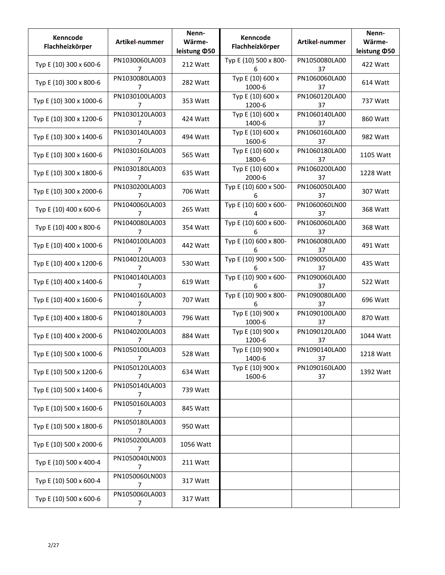| Kenncode<br>Flachheizkörper | Artikel-nummer                   | Nenn-<br>Wärme-<br>leistung ¢50 | Kenncode<br>Flachheizkörper | Artikel-nummer      | Nenn-<br>Wärme-<br>leistung ¢50 |
|-----------------------------|----------------------------------|---------------------------------|-----------------------------|---------------------|---------------------------------|
| Typ E (10) 300 x 600-6      | PN1030060LA003<br>7              | 212 Watt                        | Typ E (10) 500 x 800-<br>6  | PN1050080LA00<br>37 | 422 Watt                        |
| Typ E (10) 300 x 800-6      | PN1030080LA003<br>7              | 282 Watt                        | Typ E (10) 600 x<br>1000-6  | PN1060060LA00<br>37 | 614 Watt                        |
| Typ E (10) 300 x 1000-6     | PN1030100LA003<br>7              | 353 Watt                        | Typ E (10) 600 x<br>1200-6  | PN1060120LA00<br>37 | 737 Watt                        |
| Typ E (10) 300 x 1200-6     | PN1030120LA003<br>7              | 424 Watt                        | Typ E (10) 600 x<br>1400-6  | PN1060140LA00<br>37 | 860 Watt                        |
| Typ E (10) 300 x 1400-6     | PN1030140LA003<br>7              | 494 Watt                        | Typ E (10) 600 x<br>1600-6  | PN1060160LA00<br>37 | 982 Watt                        |
| Typ E (10) 300 x 1600-6     | PN1030160LA003<br>7              | 565 Watt                        | Typ E (10) 600 x<br>1800-6  | PN1060180LA00<br>37 | 1105 Watt                       |
| Typ E (10) 300 x 1800-6     | PN1030180LA003<br>7              | 635 Watt                        | Typ E (10) 600 x<br>2000-6  | PN1060200LA00<br>37 | 1228 Watt                       |
| Typ E (10) 300 x 2000-6     | PN1030200LA003<br>7              | 706 Watt                        | Typ E (10) 600 x 500-<br>6  | PN1060050LA00<br>37 | 307 Watt                        |
| Typ E (10) 400 x 600-6      | PN1040060LA003<br>7              | 265 Watt                        | Typ E (10) 600 x 600-<br>4  | PN1060060LN00<br>37 | 368 Watt                        |
| Typ E (10) 400 x 800-6      | PN1040080LA003<br>7              | 354 Watt                        | Typ E (10) 600 x 600-<br>6  | PN1060060LA00<br>37 | 368 Watt                        |
| Typ E (10) 400 x 1000-6     | PN1040100LA003<br>7              | 442 Watt                        | Typ E (10) 600 x 800-<br>6  | PN1060080LA00<br>37 | 491 Watt                        |
| Typ E (10) 400 x 1200-6     | PN1040120LA003<br>7              | 530 Watt                        | Typ E (10) 900 x 500-<br>6  | PN1090050LA00<br>37 | 435 Watt                        |
| Typ E (10) 400 x 1400-6     | PN1040140LA003<br>7              | 619 Watt                        | Typ E (10) 900 x 600-<br>6  | PN1090060LA00<br>37 | 522 Watt                        |
| Typ E (10) 400 x 1600-6     | PN1040160LA003<br>7              | 707 Watt                        | Typ E (10) 900 x 800-<br>6  | PN1090080LA00<br>37 | 696 Watt                        |
| Typ E (10) 400 x 1800-6     | PN1040180LA003<br>7              | 796 Watt                        | Typ E (10) 900 x<br>1000-6  | PN1090100LA00<br>37 | 870 Watt                        |
| Typ E (10) 400 x 2000-6     | PN1040200LA003<br>7              | 884 Watt                        | Typ E (10) 900 x<br>1200-6  | PN1090120LA00<br>37 | 1044 Watt                       |
| Typ E (10) 500 x 1000-6     | PN1050100LA003<br>7              | 528 Watt                        | Typ E (10) 900 x<br>1400-6  | PN1090140LA00<br>37 | 1218 Watt                       |
| Typ E (10) 500 x 1200-6     | PN1050120LA003<br>7              | 634 Watt                        | Typ E (10) 900 x<br>1600-6  | PN1090160LA00<br>37 | 1392 Watt                       |
| Typ E (10) 500 x 1400-6     | PN1050140LA003<br>7              | 739 Watt                        |                             |                     |                                 |
| Typ E (10) 500 x 1600-6     | PN1050160LA003<br>$\overline{7}$ | 845 Watt                        |                             |                     |                                 |
| Typ E (10) 500 x 1800-6     | PN1050180LA003<br>7              | 950 Watt                        |                             |                     |                                 |
| Typ E (10) 500 x 2000-6     | PN1050200LA003<br>7              | 1056 Watt                       |                             |                     |                                 |
| Typ E (10) 500 x 400-4      | PN1050040LN003<br>7              | 211 Watt                        |                             |                     |                                 |
| Typ E (10) 500 x 600-4      | PN1050060LN003<br>7              | 317 Watt                        |                             |                     |                                 |
| Typ E (10) 500 x 600-6      | PN1050060LA003<br>7              | 317 Watt                        |                             |                     |                                 |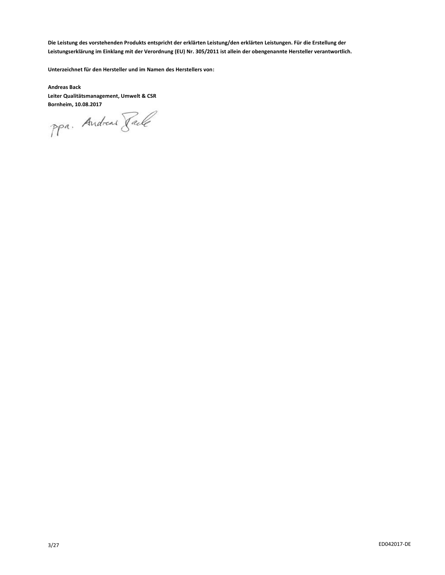**Die Leistung des vorstehenden Produkts entspricht der erklärten Leistung/den erklärten Leistungen. Für die Erstellung der Leistungserklärung im Einklang mit der Verordnung (EU) Nr. 305/2011 ist allein der obengenannte Hersteller verantwortlich.**

**Unterzeichnet für den Hersteller und im Namen des Herstellers von:**

**Andreas Back Leiter Qualitätsmanagement, Umwelt & CSR**

**Bornheim, 10.08.2017**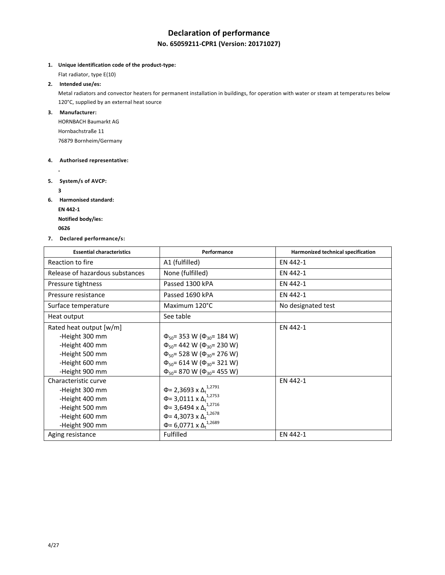# **Declaration of performance**

## **No. 65059211-CPR1 (Version: 20171027)**

**1. Unique identification code of the product-type:**

Flat radiator, type E(10)

#### **2. Intended use/es:**

Metal radiators and convector heaters for permanent installation in buildings, for operation with water or steam at temperatu res below 120°C, supplied by an external heat source

#### **3. Manufacturer:**

HORNBACH Baumarkt AG Hornbachstraße 11 76879 Bornheim/Germany

#### **4. Authorised representative:**

**5. System/s of AVCP:**

**3**

**-**

**6. Harmonised standard: EN 442-1**

**Notified body/ies:**

- **<sup>0626</sup>**
- **7. Declared performance/s:**

| <b>Essential characteristics</b> | Performance                                               | Harmonized technical specification |
|----------------------------------|-----------------------------------------------------------|------------------------------------|
| Reaction to fire                 | A1 (fulfilled)                                            | EN 442-1                           |
| Release of hazardous substances  | None (fulfilled)                                          | EN 442-1                           |
| Pressure tightness               | Passed 1300 kPA                                           | EN 442-1                           |
| Pressure resistance              | Passed 1690 kPA                                           | EN 442-1                           |
| Surface temperature              | Maximum 120°C                                             | No designated test                 |
| Heat output                      | See table                                                 |                                    |
| Rated heat output [w/m]          |                                                           | EN 442-1                           |
| -Height 300 mm                   | $\Phi_{50}$ = 353 W ( $\Phi_{30}$ = 184 W)                |                                    |
| -Height 400 mm                   | $\Phi_{50}$ = 442 W ( $\Phi_{30}$ = 230 W)                |                                    |
| -Height 500 mm                   | $\Phi_{50}$ = 528 W ( $\Phi_{30}$ = 276 W)                |                                    |
| -Height 600 mm                   | $\Phi_{50}$ = 614 W ( $\Phi_{30}$ = 321 W)                |                                    |
| -Height 900 mm                   | $\Phi_{50}$ = 870 W ( $\Phi_{30}$ = 455 W)                |                                    |
| Characteristic curve             |                                                           | EN 442-1                           |
| -Height 300 mm                   | Φ= 2,3693 x Δ <sub>t</sub> <sup>1,2791</sup>              |                                    |
| -Height 400 mm                   | $\Phi$ = 3,0111 x $\Delta$ <sub>t</sub> <sup>1,2753</sup> |                                    |
| -Height 500 mm                   | Φ= 3,6494 x $Δ_t$ <sup>1,2716</sup>                       |                                    |
| -Height 600 mm                   | Φ= 4,3073 x $Δ_t$ <sup>1,2678</sup>                       |                                    |
| -Height 900 mm                   | Φ= 6,0771 x $Δ_t$ <sup>1,2689</sup>                       |                                    |
| Aging resistance                 | <b>Fulfilled</b>                                          | EN 442-1                           |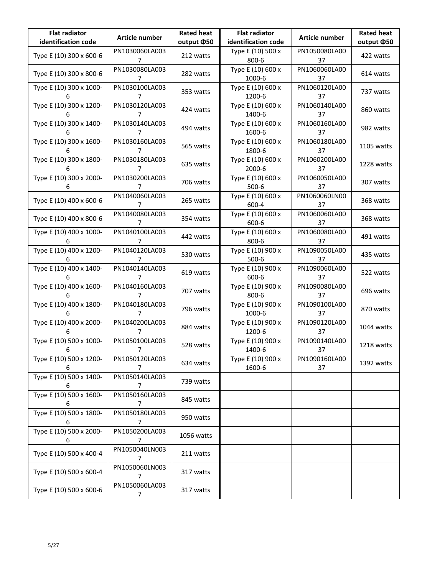| <b>Flat radiator</b><br>identification code | Article number      | <b>Rated heat</b><br>output ¢50 | <b>Flat radiator</b><br>identification code | Article number      | <b>Rated heat</b><br>output ¢50 |
|---------------------------------------------|---------------------|---------------------------------|---------------------------------------------|---------------------|---------------------------------|
| Type E (10) 300 x 600-6                     | PN1030060LA003<br>7 | 212 watts                       | Type E (10) 500 x<br>800-6                  | PN1050080LA00<br>37 | 422 watts                       |
| Type E (10) 300 x 800-6                     | PN1030080LA003<br>7 | 282 watts                       | Type E (10) 600 x<br>1000-6                 | PN1060060LA00<br>37 | 614 watts                       |
| Type E (10) 300 x 1000-<br>6                | PN1030100LA003<br>7 | 353 watts                       | Type E (10) 600 x<br>1200-6                 | PN1060120LA00<br>37 | 737 watts                       |
| Type E (10) 300 x 1200-<br>6                | PN1030120LA003<br>7 | 424 watts                       | Type E (10) 600 x<br>1400-6                 | PN1060140LA00<br>37 | 860 watts                       |
| Type E (10) 300 x 1400-<br>6                | PN1030140LA003<br>7 | 494 watts                       | Type E (10) 600 x<br>1600-6                 | PN1060160LA00<br>37 | 982 watts                       |
| Type E (10) 300 x 1600-<br>6                | PN1030160LA003<br>7 | 565 watts                       | Type E (10) 600 x<br>1800-6                 | PN1060180LA00<br>37 | 1105 watts                      |
| Type E (10) 300 x 1800-<br>6                | PN1030180LA003<br>7 | 635 watts                       | Type E (10) 600 x<br>2000-6                 | PN1060200LA00<br>37 | 1228 watts                      |
| Type E (10) 300 x 2000-<br>6                | PN1030200LA003<br>7 | 706 watts                       | Type E (10) 600 x<br>$500 - 6$              | PN1060050LA00<br>37 | 307 watts                       |
| Type E (10) 400 x 600-6                     | PN1040060LA003<br>7 | 265 watts                       | Type E (10) 600 x<br>600-4                  | PN1060060LN00<br>37 | 368 watts                       |
| Type E (10) 400 x 800-6                     | PN1040080LA003<br>7 | 354 watts                       | Type E (10) 600 x<br>600-6                  | PN1060060LA00<br>37 | 368 watts                       |
| Type E (10) 400 x 1000-                     | PN1040100LA003<br>7 | 442 watts                       | Type E (10) 600 x<br>$800 - 6$              | PN1060080LA00<br>37 | 491 watts                       |
| Type E (10) 400 x 1200-<br>h                | PN1040120LA003<br>7 | 530 watts                       | Type E (10) 900 x<br>$500-6$                | PN1090050LA00<br>37 | 435 watts                       |
| Type E (10) 400 x 1400-<br>6                | PN1040140LA003<br>7 | 619 watts                       | Type E (10) 900 x<br>600-6                  | PN1090060LA00<br>37 | 522 watts                       |
| Type E (10) 400 x 1600-<br>6                | PN1040160LA003<br>7 | 707 watts                       | Type E (10) 900 x<br>800-6                  | PN1090080LA00<br>37 | 696 watts                       |
| Type E (10) 400 x 1800-<br>6                | PN1040180LA003<br>7 | 796 watts                       | Type E (10) 900 x<br>1000-6                 | PN1090100LA00<br>37 | 870 watts                       |
| Type E (10) 400 x 2000-<br>6                | PN1040200LA003<br>7 | 884 watts                       | Type E (10) 900 x<br>1200-6                 | PN1090120LA00<br>37 | 1044 watts                      |
| Type E (10) 500 x 1000-<br>6                | PN1050100LA003<br>7 | 528 watts                       | Type E (10) 900 x<br>1400-6                 | PN1090140LA00<br>37 | 1218 watts                      |
| Type E (10) 500 x 1200-<br>6                | PN1050120LA003<br>7 | 634 watts                       | Type E (10) 900 x<br>1600-6                 | PN1090160LA00<br>37 | 1392 watts                      |
| Type E (10) 500 x 1400-<br>6                | PN1050140LA003<br>7 | 739 watts                       |                                             |                     |                                 |
| Type E (10) 500 x 1600-<br>6                | PN1050160LA003<br>7 | 845 watts                       |                                             |                     |                                 |
| Type E (10) 500 x 1800-<br>6                | PN1050180LA003<br>7 | 950 watts                       |                                             |                     |                                 |
| Type E (10) 500 x 2000-<br>6                | PN1050200LA003<br>7 | 1056 watts                      |                                             |                     |                                 |
| Type E (10) 500 x 400-4                     | PN1050040LN003<br>7 | 211 watts                       |                                             |                     |                                 |
| Type E (10) 500 x 600-4                     | PN1050060LN003<br>7 | 317 watts                       |                                             |                     |                                 |
| Type E (10) 500 x 600-6                     | PN1050060LA003<br>7 | 317 watts                       |                                             |                     |                                 |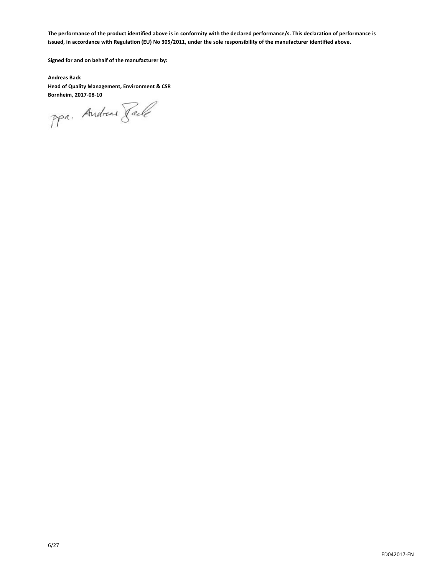**The performance of the product identified above is in conformity with the declared performance/s. This declaration of performance is issued, in accordance with Regulation (EU) No 305/2011, under the sole responsibility of the manufacturer identified above.**

**Signed for and on behalf of the manufacturer by:**

**Andreas Back Head of Quality Management, Environment & CSR**

**Bornheim, 2017-08-10**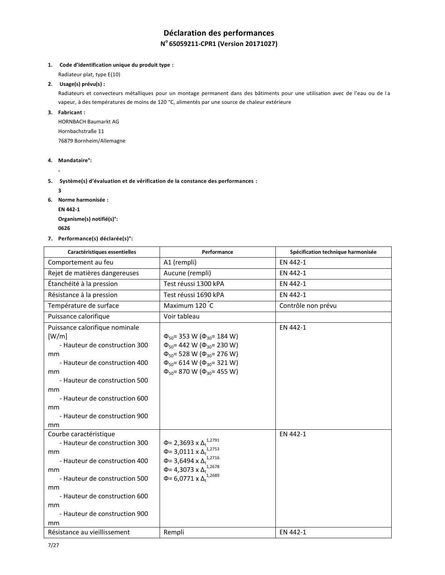# **Déclaration des performances N <sup>o</sup>65059211-CPR1 (Version 20171027)**

#### **1. Code d'identification unique du produit type :**

Radiateur plat, type E(10)

#### **2. Usage(s) prévu(s) :**

Radiateurs et convecteurs métalliques pour un montage permanent dans des bâtiments pour une utilisation avec de l'eau ou de l a vapeur, à des températures de moins de 120 °C, alimentés par une source de chaleur extérieure

**3. Fabricant :**

HORNBACH Baumarkt AG Hornbachstraße 11 76879 Bornheim/Allemagne

#### **4. Mandataire°:**

**-**

#### **5. Système(s) d'évaluation et de vérification de la constance des performances :**

**3**

- **6. Norme harmonisée :**
	- **EN 442-1**

**Organisme(s) notifié(s)°: <sup>0626</sup>** 

**7. Performance(s) déclarée(s)°:**

| Caractéristiques essentielles                                                                                                                                                                                                              | Performance                                                                                                                                                                                                                        | Spécification technique harmonisée |
|--------------------------------------------------------------------------------------------------------------------------------------------------------------------------------------------------------------------------------------------|------------------------------------------------------------------------------------------------------------------------------------------------------------------------------------------------------------------------------------|------------------------------------|
| Comportement au feu                                                                                                                                                                                                                        | A1 (rempli)                                                                                                                                                                                                                        | EN 442-1                           |
| Rejet de matières dangereuses                                                                                                                                                                                                              | Aucune (rempli)                                                                                                                                                                                                                    | EN 442-1                           |
| Étanchéité à la pression                                                                                                                                                                                                                   | Test réussi 1300 kPA                                                                                                                                                                                                               | EN 442-1                           |
| Résistance à la pression                                                                                                                                                                                                                   | Test réussi 1690 kPA                                                                                                                                                                                                               | EN 442-1                           |
| Température de surface                                                                                                                                                                                                                     | Maximum 120 C                                                                                                                                                                                                                      | Contrôle non prévu                 |
| Puissance calorifique                                                                                                                                                                                                                      | Voir tableau                                                                                                                                                                                                                       |                                    |
| Puissance calorifique nominale<br>[W/m]<br>- Hauteur de construction 300<br>mm<br>- Hauteur de construction 400<br>mm<br>- Hauteur de construction 500<br>mm<br>- Hauteur de construction 600<br>mm<br>- Hauteur de construction 900<br>mm | $\Phi_{50}$ = 353 W ( $\Phi_{30}$ = 184 W)<br>$\Phi_{50}$ = 442 W ( $\Phi_{30}$ = 230 W)<br>$\Phi_{50}$ = 528 W ( $\Phi_{30}$ = 276 W)<br>$\Phi_{50}$ = 614 W ( $\Phi_{30}$ = 321 W)<br>$\Phi_{50}$ = 870 W ( $\Phi_{30}$ = 455 W) | EN 442-1                           |
| Courbe caractéristique<br>- Hauteur de construction 300<br>mm<br>- Hauteur de construction 400<br>mm<br>- Hauteur de construction 500<br>mm<br>- Hauteur de construction 600<br>mm<br>- Hauteur de construction 900<br>mm                  | 1,2791<br>$Φ = 2,3693$ x Δ <sub>t</sub><br>Φ= 3,0111 x $Δ_t^{1,2753}$<br>Φ= 3,6494 x $Δ_t$ <sup>1,2716</sup><br>Φ= 4,3073 x $Δ_t$ <sup>1,2678</sup><br>Φ= 6,0771 x $Δ_t$ <sup>1,2689</sup>                                         | EN 442-1                           |
| Résistance au vieillissement                                                                                                                                                                                                               | Rempli                                                                                                                                                                                                                             | EN 442-1                           |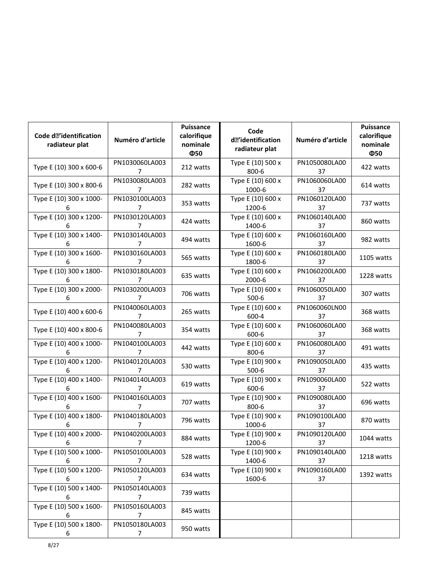| Code do'identification<br>radiateur plat | Numéro d'article                 | Puissance<br>calorifique<br>nominale<br>Ф50 | Code<br>d• 'identification<br>radiateur plat | Numéro d'article    | Puissance<br>calorifique<br>nominale<br>Ф50 |
|------------------------------------------|----------------------------------|---------------------------------------------|----------------------------------------------|---------------------|---------------------------------------------|
| Type E (10) 300 x 600-6                  | PN1030060LA003<br>7              | 212 watts                                   | Type E (10) 500 x<br>800-6                   | PN1050080LA00<br>37 | 422 watts                                   |
| Type E (10) 300 x 800-6                  | PN1030080LA003<br>7              | 282 watts                                   | Type E (10) 600 x<br>1000-6                  | PN1060060LA00<br>37 | 614 watts                                   |
| Type E (10) 300 x 1000-<br>6             | PN1030100LA003<br>7              | 353 watts                                   | Type E (10) 600 x<br>1200-6                  | PN1060120LA00<br>37 | 737 watts                                   |
| Type E (10) 300 x 1200-<br>6             | PN1030120LA003<br>7              | 424 watts                                   | Type E (10) 600 x<br>1400-6                  | PN1060140LA00<br>37 | 860 watts                                   |
| Type E (10) 300 x 1400-<br>6             | PN1030140LA003<br>7              | 494 watts                                   | Type E (10) 600 x<br>1600-6                  | PN1060160LA00<br>37 | 982 watts                                   |
| Type E (10) 300 x 1600-<br>6             | PN1030160LA003<br>7              | 565 watts                                   | Type E (10) 600 x<br>1800-6                  | PN1060180LA00<br>37 | 1105 watts                                  |
| Type E (10) 300 x 1800-<br>6             | PN1030180LA003<br>7              | 635 watts                                   | Type E (10) 600 x<br>2000-6                  | PN1060200LA00<br>37 | 1228 watts                                  |
| Type E (10) 300 x 2000-<br>6             | PN1030200LA003<br>7              | 706 watts                                   | Type E (10) 600 x<br>$500 - 6$               | PN1060050LA00<br>37 | 307 watts                                   |
| Type E (10) 400 x 600-6                  | PN1040060LA003<br>7              | 265 watts                                   | Type E (10) 600 x<br>600-4                   | PN1060060LN00<br>37 | 368 watts                                   |
| Type E (10) 400 x 800-6                  | PN1040080LA003<br>7              | 354 watts                                   | Type E (10) 600 x<br>$600 - 6$               | PN1060060LA00<br>37 | 368 watts                                   |
| Type E (10) 400 x 1000-<br>6             | PN1040100LA003<br>7              | 442 watts                                   | Type E (10) 600 x<br>800-6                   | PN1060080LA00<br>37 | 491 watts                                   |
| Type E (10) 400 x 1200-<br>6             | PN1040120LA003<br>7              | 530 watts                                   | Type E (10) 900 x<br>$500-6$                 | PN1090050LA00<br>37 | 435 watts                                   |
| Type E (10) 400 x 1400-<br>6             | PN1040140LA003<br>7              | 619 watts                                   | Type E (10) 900 x<br>600-6                   | PN1090060LA00<br>37 | 522 watts                                   |
| Type E (10) 400 x 1600-<br>6             | PN1040160LA003<br>7              | 707 watts                                   | Type E (10) 900 x<br>800-6                   | PN1090080LA00<br>37 | 696 watts                                   |
| Type E (10) 400 x 1800-<br>6             | PN1040180LA003<br>7              | 796 watts                                   | Type E (10) 900 x<br>1000-6                  | PN1090100LA00<br>37 | 870 watts                                   |
| Type E (10) 400 x 2000-<br>6             | PN1040200LA003<br>$\overline{7}$ | 884 watts                                   | Type E (10) 900 x<br>1200-6                  | PN1090120LA00<br>37 | 1044 watts                                  |
| Type E (10) 500 x 1000-<br>6             | PN1050100LA003<br>7              | 528 watts                                   | Type E (10) 900 x<br>1400-6                  | PN1090140LA00<br>37 | 1218 watts                                  |
| Type E (10) 500 x 1200-<br>6             | PN1050120LA003<br>7              | 634 watts                                   | Type E (10) 900 x<br>1600-6                  | PN1090160LA00<br>37 | 1392 watts                                  |
| Type E (10) 500 x 1400-<br>6             | PN1050140LA003<br>$\overline{7}$ | 739 watts                                   |                                              |                     |                                             |
| Type E (10) 500 x 1600-<br>6             | PN1050160LA003<br>7              | 845 watts                                   |                                              |                     |                                             |
| Type E (10) 500 x 1800-<br>6             | PN1050180LA003<br>7              | 950 watts                                   |                                              |                     |                                             |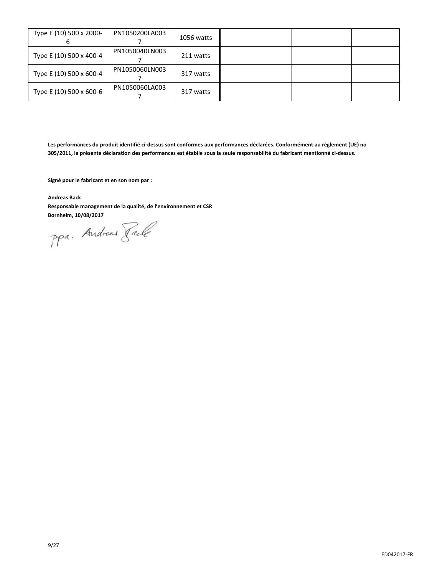| Type E (10) 500 x 2000- | PN1050200LA003 | 1056 watts |  |  |
|-------------------------|----------------|------------|--|--|
| Type E (10) 500 x 400-4 | PN1050040LN003 | 211 watts  |  |  |
| Type E (10) 500 x 600-4 | PN1050060LN003 | 317 watts  |  |  |
| Type E (10) 500 x 600-6 | PN1050060LA003 | 317 watts  |  |  |

**Les performances du produit identifié ci-dessus sont conformes aux performances déclarées. Conformément au règlement (UE) no 305/2011, la présente déclaration des performances est établie sous la seule responsabilité du fabricant mentionné ci-dessus.**

**Signé pour le fabricant et en son nom par :**

**Andreas Back**

**Responsable management de la qualité, de l'environnement et CSR**

**Bornheim, 10/08/2017**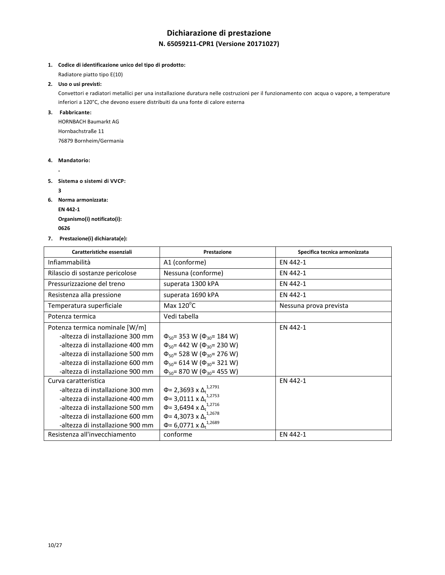# **Dichiarazione di prestazione N. 65059211-CPR1 (Versione 20171027)**

**1. Codice di identificazione unico del tipo di prodotto:**

Radiatore piatto tipo E(10)

**2. Uso o usi previsti:**

Convettori e radiatori metallici per una installazione duratura nelle costruzioni per il funzionamento con acqua o vapore, a temperature inferiori a 120°C, che devono essere distribuiti da una fonte di calore esterna

**3. Fabbricante:**

HORNBACH Baumarkt AG Hornbachstraße 11 76879 Bornheim/Germania

- **4. Mandatorio:**
	- **-**
- **5. Sistema o sistemi di VVCP:** 
	- **3**
- **6. Norma armonizzata: EN 442-1**

**Organismo(i) notificato(i): <sup>0626</sup>** 

**7. Prestazione(i) dichiarata(e):**

| Caratteristiche essenziali       | Prestazione                                 | Specifica tecnica armonizzata |
|----------------------------------|---------------------------------------------|-------------------------------|
| Infiammabilità                   | A1 (conforme)                               | EN 442-1                      |
| Rilascio di sostanze pericolose  | Nessuna (conforme)                          | EN 442-1                      |
| Pressurizzazione del treno       | superata 1300 kPA                           | EN 442-1                      |
| Resistenza alla pressione        | superata 1690 kPA                           | EN 442-1                      |
| Temperatura superficiale         | Max $120^{\circ}$ C                         | Nessuna prova prevista        |
| Potenza termica                  | Vedi tabella                                |                               |
| Potenza termica nominale [W/m]   |                                             | EN 442-1                      |
| -altezza di installazione 300 mm | $\Phi_{50}$ = 353 W ( $\Phi_{30}$ = 184 W)  |                               |
| -altezza di installazione 400 mm | $\Phi_{50}$ = 442 W ( $\Phi_{30}$ = 230 W)  |                               |
| -altezza di installazione 500 mm | $\Phi_{50}$ = 528 W ( $\Phi_{30}$ = 276 W)  |                               |
| -altezza di installazione 600 mm | $\Phi_{50}$ = 614 W ( $\Phi_{30}$ = 321 W)  |                               |
| -altezza di installazione 900 mm | $\Phi_{50}$ = 870 W ( $\Phi_{30}$ = 455 W)  |                               |
| Curva caratteristica             |                                             | EN 442-1                      |
| -altezza di installazione 300 mm | Φ= 2,3693 x Δ <sup>1,2791</sup>             |                               |
| -altezza di installazione 400 mm | $\Phi$ = 3,0111 x $\Delta_t^{1,2753}$       |                               |
| -altezza di installazione 500 mm | Φ= 3,6494 x $Δ_t$ <sup>1,2716</sup>         |                               |
| -altezza di installazione 600 mm | Φ= 4,3073 x $Δ_t$ <sup>1,2678</sup>         |                               |
| -altezza di installazione 900 mm | $\Phi$ = 6,0771 x $\Delta_{\rm t}^{1,2689}$ |                               |
| Resistenza all'invecchiamento    | conforme                                    | EN 442-1                      |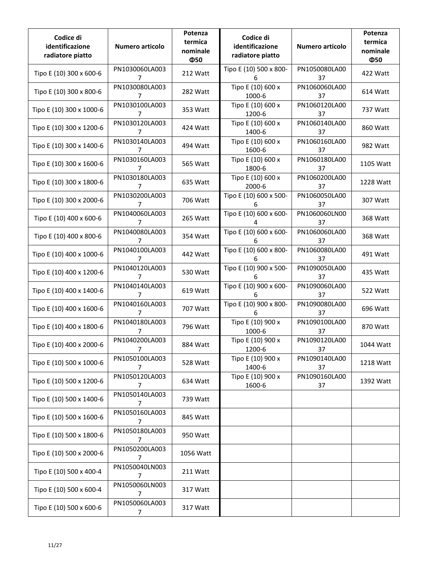| Codice di<br>identificazione<br>radiatore piatto | Numero articolo                  | Potenza<br>termica<br>nominale<br>Ф50 | Codice di<br>identificazione<br>radiatore piatto | Numero articolo     | Potenza<br>termica<br>nominale<br>Ф50 |
|--------------------------------------------------|----------------------------------|---------------------------------------|--------------------------------------------------|---------------------|---------------------------------------|
| Tipo E (10) 300 x 600-6                          | PN1030060LA003<br>7              | 212 Watt                              | Tipo E (10) 500 x 800-<br>6                      | PN1050080LA00<br>37 | 422 Watt                              |
| Tipo E (10) 300 x 800-6                          | PN1030080LA003<br>7              | 282 Watt                              | Tipo E (10) 600 x<br>1000-6                      | PN1060060LA00<br>37 | 614 Watt                              |
| Tipo E (10) 300 x 1000-6                         | PN1030100LA003<br>7              | 353 Watt                              | Tipo E (10) 600 x<br>1200-6                      | PN1060120LA00<br>37 | 737 Watt                              |
| Tipo E (10) 300 x 1200-6                         | PN1030120LA003<br>7              | 424 Watt                              | Tipo E (10) 600 x<br>1400-6                      | PN1060140LA00<br>37 | 860 Watt                              |
| Tipo E (10) 300 x 1400-6                         | PN1030140LA003<br>7              | 494 Watt                              | Tipo E (10) 600 x<br>1600-6                      | PN1060160LA00<br>37 | 982 Watt                              |
| Tipo E (10) 300 x 1600-6                         | PN1030160LA003<br>7              | 565 Watt                              | Tipo E (10) 600 x<br>1800-6                      | PN1060180LA00<br>37 | 1105 Watt                             |
| Tipo E (10) 300 x 1800-6                         | PN1030180LA003<br>7              | 635 Watt                              | Tipo E (10) 600 x<br>2000-6                      | PN1060200LA00<br>37 | 1228 Watt                             |
| Tipo E (10) 300 x 2000-6                         | PN1030200LA003<br>$\overline{7}$ | 706 Watt                              | Tipo E (10) 600 x 500-<br>6                      | PN1060050LA00<br>37 | 307 Watt                              |
| Tipo E (10) 400 x 600-6                          | PN1040060LA003<br>7              | 265 Watt                              | Tipo E (10) 600 x 600-<br>4                      | PN1060060LN00<br>37 | 368 Watt                              |
| Tipo E (10) 400 x 800-6                          | PN1040080LA003<br>7              | 354 Watt                              | Tipo E (10) 600 x 600-<br>6                      | PN1060060LA00<br>37 | 368 Watt                              |
| Tipo E (10) 400 x 1000-6                         | PN1040100LA003<br>7              | 442 Watt                              | Tipo E (10) 600 x 800-<br>6                      | PN1060080LA00<br>37 | 491 Watt                              |
| Tipo E (10) 400 x 1200-6                         | PN1040120LA003<br>7              | 530 Watt                              | Tipo E (10) 900 x 500-<br>6                      | PN1090050LA00<br>37 | 435 Watt                              |
| Tipo E (10) 400 x 1400-6                         | PN1040140LA003<br>7              | 619 Watt                              | Tipo E (10) 900 x 600-<br>6                      | PN1090060LA00<br>37 | 522 Watt                              |
| Tipo E (10) 400 x 1600-6                         | PN1040160LA003<br>7              | 707 Watt                              | Tipo E (10) 900 x 800-<br>6                      | PN1090080LA00<br>37 | 696 Watt                              |
| Tipo E (10) 400 x 1800-6                         | PN1040180LA003<br>7              | 796 Watt                              | Tipo E (10) 900 x<br>1000-6                      | PN1090100LA00<br>37 | 870 Watt                              |
| Tipo E (10) 400 x 2000-6                         | PN1040200LA003<br>$\overline{7}$ | 884 Watt                              | Tipo E (10) 900 x<br>1200-6                      | PN1090120LA00<br>37 | 1044 Watt                             |
| Tipo E (10) 500 x 1000-6                         | PN1050100LA003<br>7              | 528 Watt                              | Tipo E (10) 900 x<br>1400-6                      | PN1090140LA00<br>37 | 1218 Watt                             |
| Tipo E (10) 500 x 1200-6                         | PN1050120LA003<br>7              | 634 Watt                              | Tipo E (10) 900 x<br>1600-6                      | PN1090160LA00<br>37 | 1392 Watt                             |
| Tipo E (10) 500 x 1400-6                         | PN1050140LA003<br>7              | 739 Watt                              |                                                  |                     |                                       |
| Tipo E (10) 500 x 1600-6                         | PN1050160LA003<br>7              | 845 Watt                              |                                                  |                     |                                       |
| Tipo E (10) 500 x 1800-6                         | PN1050180LA003<br>$\overline{7}$ | 950 Watt                              |                                                  |                     |                                       |
| Tipo E (10) 500 x 2000-6                         | PN1050200LA003<br>7              | 1056 Watt                             |                                                  |                     |                                       |
| Tipo E (10) 500 x 400-4                          | PN1050040LN003<br>7              | 211 Watt                              |                                                  |                     |                                       |
| Tipo E (10) 500 x 600-4                          | PN1050060LN003<br>7              | 317 Watt                              |                                                  |                     |                                       |
| Tipo E (10) 500 x 600-6                          | PN1050060LA003<br>7              | 317 Watt                              |                                                  |                     |                                       |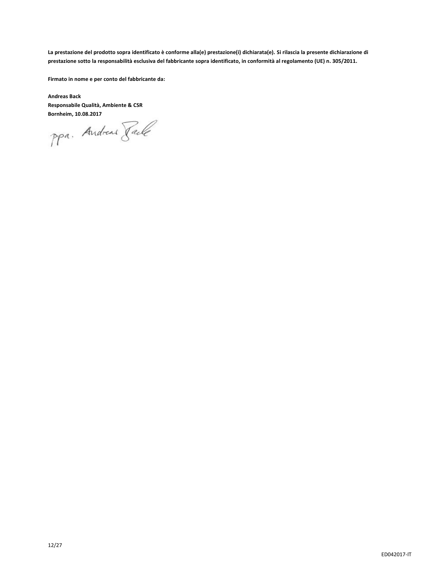**La prestazione del prodotto sopra identificato è conforme alla(e) prestazione(i) dichiarata(e). Si rilascia la presente dichiarazione di prestazione sotto la responsabilità esclusiva del fabbricante sopra identificato, in conformità al regolamento (UE) n. 305/2011.**

**Firmato in nome e per conto del fabbricante da:**

**Andreas Back Responsabile Qualità, Ambiente & CSR**

**Bornheim, 10.08.2017**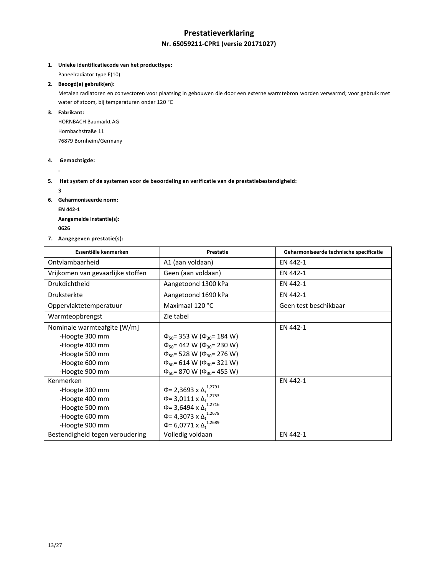## **Prestatieverklaring Nr. 65059211-CPR1 (versie 20171027)**

**1. Unieke identificatiecode van het producttype:**

Paneelradiator type E(10)

**2. Beoogd(e) gebruik(en):**

Metalen radiatoren en convectoren voor plaatsing in gebouwen die door een externe warmtebron worden verwarmd; voor gebruik met water of stoom, bij temperaturen onder 120 °C

**3. Fabrikant:**

HORNBACH Baumarkt AG Hornbachstraße 11 76879 Bornheim/Germany

**4. Gemachtigde:** 

**-**

**5. Het system of de systemen voor de beoordeling en verificatie van de prestatiebestendigheid:** 

**3**

**6. Geharmoniseerde norm: EN 442-1**

**Aangemelde instantie(s):**

- **<sup>0626</sup>**
- **7. Aangegeven prestatie(s):**

| Essentiële kenmerken              | Prestatie                                    | Geharmoniseerde technische specificatie |
|-----------------------------------|----------------------------------------------|-----------------------------------------|
| Ontylambaarheid                   | A1 (aan voldaan)                             | EN 442-1                                |
| Vrijkomen van gevaarlijke stoffen | Geen (aan voldaan)                           | EN 442-1                                |
| <b>Drukdichtheid</b>              | Aangetoond 1300 kPa                          | EN 442-1                                |
| <b>Druksterkte</b>                | Aangetoond 1690 kPa                          | EN 442-1                                |
| Oppervlaktetemperatuur            | Maximaal 120 °C                              | Geen test beschikbaar                   |
| Warmteopbrengst                   | Zie tabel                                    |                                         |
| Nominale warmteafgite [W/m]       |                                              | EN 442-1                                |
| -Hoogte 300 mm                    | $\Phi_{50}$ = 353 W ( $\Phi_{30}$ = 184 W)   |                                         |
| -Hoogte 400 mm                    | $\Phi_{50}$ = 442 W ( $\Phi_{30}$ = 230 W)   |                                         |
| -Hoogte 500 mm                    | $\Phi_{50}$ = 528 W ( $\Phi_{30}$ = 276 W)   |                                         |
| -Hoogte 600 mm                    | $\Phi_{50}$ = 614 W ( $\Phi_{30}$ = 321 W)   |                                         |
| -Hoogte 900 mm                    | $\Phi_{50}$ = 870 W ( $\Phi_{30}$ = 455 W)   |                                         |
| Kenmerken                         |                                              | EN 442-1                                |
| -Hoogte 300 mm                    | Φ= 2,3693 x Δ <sub>t</sub> <sup>1,2791</sup> |                                         |
| -Hoogte 400 mm                    | $\Phi$ = 3,0111 x $\Delta_t^{1,2753}$        |                                         |
| -Hoogte 500 mm                    | Φ= 3,6494 x $Δ_t$ <sup>1,2716</sup>          |                                         |
| -Hoogte 600 mm                    | Φ= 4,3073 x $Δ_t$ <sup>1,2678</sup>          |                                         |
| -Hoogte 900 mm                    | $\Phi$ = 6,0771 x $\Delta_t^{1,2689}$        |                                         |
| Bestendigheid tegen veroudering   | Volledig voldaan                             | EN 442-1                                |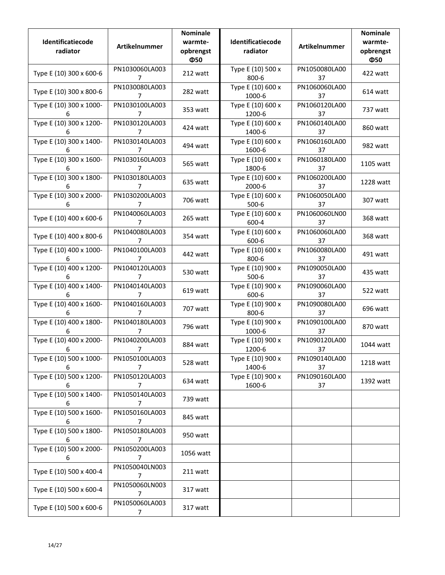| Identificatiecode<br>radiator | Artikelnummer                    | <b>Nominale</b><br>warmte-<br>opbrengst<br>Ф50 | Identificatiecode<br>radiator  | Artikelnummer       | <b>Nominale</b><br>warmte-<br>opbrengst<br>Ф50 |
|-------------------------------|----------------------------------|------------------------------------------------|--------------------------------|---------------------|------------------------------------------------|
| Type E (10) 300 x 600-6       | PN1030060LA003<br>7              | 212 watt                                       | Type E (10) 500 x<br>800-6     | PN1050080LA00<br>37 | 422 watt                                       |
| Type E (10) 300 x 800-6       | PN1030080LA003<br>7              | 282 watt                                       | Type E (10) 600 x<br>1000-6    | PN1060060LA00<br>37 | 614 watt                                       |
| Type E (10) 300 x 1000-<br>6  | PN1030100LA003<br>7              | 353 watt                                       | Type E (10) 600 x<br>1200-6    | PN1060120LA00<br>37 | 737 watt                                       |
| Type E (10) 300 x 1200-<br>6  | PN1030120LA003<br>7              | 424 watt                                       | Type E (10) 600 x<br>1400-6    | PN1060140LA00<br>37 | 860 watt                                       |
| Type E (10) 300 x 1400-<br>6  | PN1030140LA003<br>7              | 494 watt                                       | Type E (10) 600 x<br>1600-6    | PN1060160LA00<br>37 | 982 watt                                       |
| Type E (10) 300 x 1600-<br>6  | PN1030160LA003<br>7              | 565 watt                                       | Type E (10) 600 x<br>1800-6    | PN1060180LA00<br>37 | 1105 watt                                      |
| Type E (10) 300 x 1800-<br>6  | PN1030180LA003<br>7              | 635 watt                                       | Type E (10) 600 x<br>2000-6    | PN1060200LA00<br>37 | 1228 watt                                      |
| Type E (10) 300 x 2000-<br>6  | PN1030200LA003<br>7              | 706 watt                                       | Type E (10) 600 x<br>$500 - 6$ | PN1060050LA00<br>37 | 307 watt                                       |
| Type E (10) 400 x 600-6       | PN1040060LA003<br>7              | 265 watt                                       | Type E (10) 600 x<br>600-4     | PN1060060LN00<br>37 | 368 watt                                       |
| Type E (10) 400 x 800-6       | PN1040080LA003<br>7              | 354 watt                                       | Type E (10) 600 x<br>600-6     | PN1060060LA00<br>37 | 368 watt                                       |
| Type E (10) 400 x 1000-<br>6. | PN1040100LA003<br>7              | 442 watt                                       | Type E (10) 600 x<br>800-6     | PN1060080LA00<br>37 | 491 watt                                       |
| Type E (10) 400 x 1200-<br>6. | PN1040120LA003<br>7              | 530 watt                                       | Type E (10) 900 x<br>$500 - 6$ | PN1090050LA00<br>37 | 435 watt                                       |
| Type E (10) 400 x 1400-<br>6  | PN1040140LA003<br>7              | 619 watt                                       | Type E (10) 900 x<br>600-6     | PN1090060LA00<br>37 | 522 watt                                       |
| Type E (10) 400 x 1600-<br>6  | PN1040160LA003<br>7              | 707 watt                                       | Type E (10) 900 x<br>800-6     | PN1090080LA00<br>37 | 696 watt                                       |
| Type E (10) 400 x 1800-<br>6  | PN1040180LA003<br>7              | 796 watt                                       | Type E (10) 900 x<br>1000-6    | PN1090100LA00<br>37 | 870 watt                                       |
| Type E (10) 400 x 2000-<br>6  | PN1040200LA003<br>7              | 884 watt                                       | Type E (10) 900 x<br>1200-6    | PN1090120LA00<br>37 | 1044 watt                                      |
| Type E (10) 500 x 1000-<br>6  | PN1050100LA003<br>7              | 528 watt                                       | Type E (10) 900 x<br>1400-6    | PN1090140LA00<br>37 | 1218 watt                                      |
| Type E (10) 500 x 1200-<br>6  | PN1050120LA003<br>7              | 634 watt                                       | Type E (10) 900 x<br>1600-6    | PN1090160LA00<br>37 | 1392 watt                                      |
| Type E (10) 500 x 1400-<br>6  | PN1050140LA003<br>7              | 739 watt                                       |                                |                     |                                                |
| Type E (10) 500 x 1600-<br>6  | PN1050160LA003<br>$\overline{7}$ | 845 watt                                       |                                |                     |                                                |
| Type E (10) 500 x 1800-<br>6  | PN1050180LA003<br>$\overline{7}$ | 950 watt                                       |                                |                     |                                                |
| Type E (10) 500 x 2000-<br>6  | PN1050200LA003<br>7              | 1056 watt                                      |                                |                     |                                                |
| Type E (10) 500 x 400-4       | PN1050040LN003<br>7              | 211 watt                                       |                                |                     |                                                |
| Type E (10) 500 x 600-4       | PN1050060LN003<br>7              | 317 watt                                       |                                |                     |                                                |
| Type E (10) 500 x 600-6       | PN1050060LA003<br>7              | 317 watt                                       |                                |                     |                                                |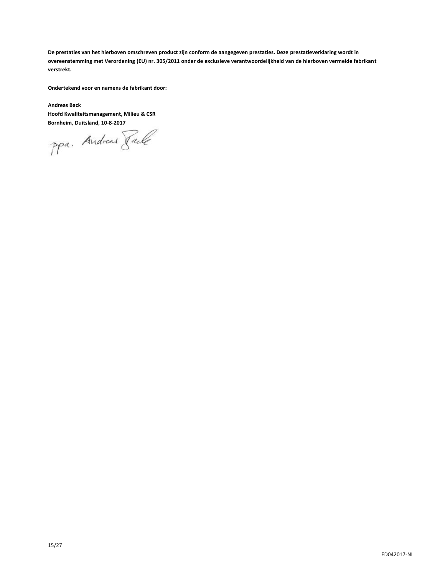**De prestaties van het hierboven omschreven product zijn conform de aangegeven prestaties. Deze prestatieverklaring wordt in overeenstemming met Verordening (EU) nr. 305/2011 onder de exclusieve verantwoordelijkheid van de hierboven vermelde fabrikant verstrekt.**

**Ondertekend voor en namens de fabrikant door:**

**Andreas Back Hoofd Kwaliteitsmanagement, Milieu & CSR**

**Bornheim, Duitsland, 10-8-2017**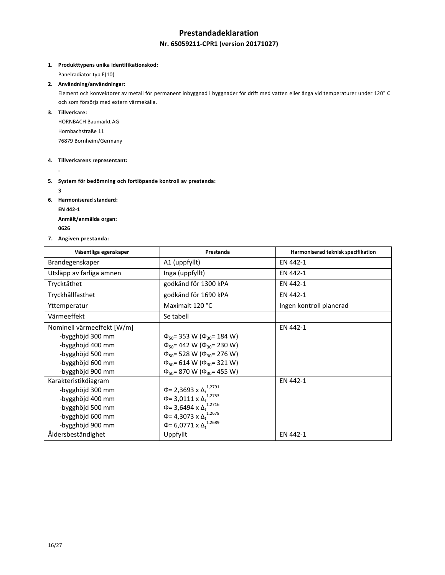## **Prestandadeklaration**

## **Nr. 65059211-CPR1 (version 20171027)**

#### **1. Produkttypens unika identifikationskod:**

Panelradiator typ E(10)

#### **2. Användning/användningar:**

Element och konvektorer av metall för permanent inbyggnad i byggnader för drift med vatten eller ånga vid temperaturer under 120° C och som försörjs med extern värmekälla.

### **3. Tillverkare:**

HORNBACH Baumarkt AG Hornbachstraße 11 76879 Bornheim/Germany

#### **4. Tillverkarens representant:**

**-**

## **5. System för bedömning och fortlöpande kontroll av prestanda:**

**3**

- **6. Harmoniserad standard:**
	- **EN 442-1**

**Anmält/anmälda organ: <sup>0626</sup>** 

**7. Angiven prestanda:**

| Väsentliga egenskaper      | Prestanda                                    | Harmoniserad teknisk specifikation |
|----------------------------|----------------------------------------------|------------------------------------|
| Brandegenskaper            | A1 (uppfyllt)                                | EN 442-1                           |
| Utsläpp av farliga ämnen   | Inga (uppfyllt)                              | EN 442-1                           |
| Trycktäthet                | godkänd för 1300 kPA                         | EN 442-1                           |
| Tryckhållfasthet           | godkänd för 1690 kPA                         | EN 442-1                           |
| Yttemperatur               | Maximalt 120 °C                              | Ingen kontroll planerad            |
| Värmeeffekt                | Se tabell                                    |                                    |
| Nominell värmeeffekt [W/m] |                                              | EN 442-1                           |
| -bygghöjd 300 mm           | $\Phi_{50}$ = 353 W ( $\Phi_{30}$ = 184 W)   |                                    |
| -bygghöjd 400 mm           | $\Phi_{50}$ = 442 W ( $\Phi_{30}$ = 230 W)   |                                    |
| -bygghöjd 500 mm           | $\Phi_{50}$ = 528 W ( $\Phi_{30}$ = 276 W)   |                                    |
| -bygghöjd 600 mm           | $\Phi_{50}$ = 614 W ( $\Phi_{30}$ = 321 W)   |                                    |
| -bygghöjd 900 mm           | $\Phi_{50}$ = 870 W ( $\Phi_{30}$ = 455 W)   |                                    |
| Karakteristikdiagram       |                                              | EN 442-1                           |
| -bygghöjd 300 mm           | Φ= 2,3693 x Δ <sub>t</sub> <sup>1,2791</sup> |                                    |
| -bygghöjd 400 mm           | $\Phi$ = 3,0111 x $\Delta_t^{1,2753}$        |                                    |
| -bygghöjd 500 mm           | Φ= 3,6494 x $Δ_t$ <sup>1,2716</sup>          |                                    |
| -bygghöjd 600 mm           | Φ= 4,3073 x $Δ_t$ <sup>1,2678</sup>          |                                    |
| -bygghöjd 900 mm           | Φ= 6,0771 x $Δ_t$ <sup>1,2689</sup>          |                                    |
| Åldersbeständighet         | Uppfyllt                                     | EN 442-1                           |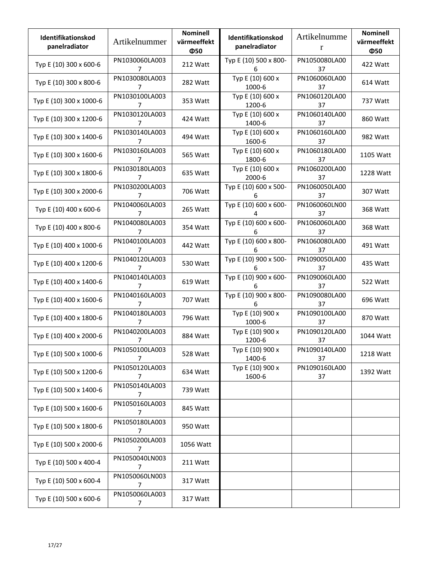| <b>Identifikationskod</b><br>panelradiator | Artikelnummer                    | <b>Nominell</b><br>värmeeffekt<br>Ф50 | <b>Identifikationskod</b><br>panelradiator | Artikelnumme<br>r   | <b>Nominell</b><br>värmeeffekt<br>Ф50 |
|--------------------------------------------|----------------------------------|---------------------------------------|--------------------------------------------|---------------------|---------------------------------------|
| Typ E (10) 300 x 600-6                     | PN1030060LA003<br>7              | 212 Watt                              | Typ E (10) 500 x 800-<br>6                 | PN1050080LA00<br>37 | 422 Watt                              |
| Typ E (10) 300 x 800-6                     | PN1030080LA003<br>7              | 282 Watt                              | Typ E (10) 600 x<br>1000-6                 | PN1060060LA00<br>37 | 614 Watt                              |
| Typ E (10) 300 x 1000-6                    | PN1030100LA003<br>7              | 353 Watt                              | Typ E (10) 600 x<br>1200-6                 | PN1060120LA00<br>37 | 737 Watt                              |
| Typ E (10) 300 x 1200-6                    | PN1030120LA003<br>7              | 424 Watt                              | Typ E (10) 600 x<br>1400-6                 | PN1060140LA00<br>37 | 860 Watt                              |
| Typ E (10) 300 x 1400-6                    | PN1030140LA003<br>7              | 494 Watt                              | Typ E (10) 600 x<br>1600-6                 | PN1060160LA00<br>37 | 982 Watt                              |
| Typ E (10) 300 x 1600-6                    | PN1030160LA003<br>7              | 565 Watt                              | Typ E (10) 600 x<br>1800-6                 | PN1060180LA00<br>37 | 1105 Watt                             |
| Typ E (10) 300 x 1800-6                    | PN1030180LA003<br>$\overline{7}$ | 635 Watt                              | Typ E (10) 600 x<br>2000-6                 | PN1060200LA00<br>37 | 1228 Watt                             |
| Typ E (10) 300 x 2000-6                    | PN1030200LA003<br>7              | 706 Watt                              | Typ E (10) 600 x 500-<br>6                 | PN1060050LA00<br>37 | 307 Watt                              |
| Typ E (10) 400 x 600-6                     | PN1040060LA003<br>7              | 265 Watt                              | Typ E (10) 600 x 600-<br>4                 | PN1060060LN00<br>37 | 368 Watt                              |
| Typ E (10) 400 x 800-6                     | PN1040080LA003<br>7              | 354 Watt                              | Typ E (10) 600 x 600-<br>6                 | PN1060060LA00<br>37 | 368 Watt                              |
| Typ E (10) 400 x 1000-6                    | PN1040100LA003<br>7              | 442 Watt                              | Typ E (10) 600 x 800-<br>6                 | PN1060080LA00<br>37 | 491 Watt                              |
| Typ E (10) 400 x 1200-6                    | PN1040120LA003<br>7              | 530 Watt                              | Typ E (10) 900 x 500-<br>6                 | PN1090050LA00<br>37 | 435 Watt                              |
| Typ E (10) 400 x 1400-6                    | PN1040140LA003<br>7              | 619 Watt                              | Typ E (10) 900 x 600-<br>6                 | PN1090060LA00<br>37 | 522 Watt                              |
| Typ E (10) 400 x 1600-6                    | PN1040160LA003<br>7              | 707 Watt                              | Typ E (10) 900 x 800-<br>6                 | PN1090080LA00<br>37 | 696 Watt                              |
| Typ E (10) 400 x 1800-6                    | PN1040180LA003<br>7              | 796 Watt                              | Typ E (10) 900 x<br>1000-6                 | PN1090100LA00<br>37 | 870 Watt                              |
| Typ E (10) 400 x 2000-6                    | PN1040200LA003<br>7              | 884 Watt                              | Typ E (10) 900 x<br>1200-6                 | PN1090120LA00<br>37 | 1044 Watt                             |
| Typ E (10) 500 x 1000-6                    | PN1050100LA003<br>7              | 528 Watt                              | Typ E (10) 900 x<br>1400-6                 | PN1090140LA00<br>37 | 1218 Watt                             |
| Typ E (10) 500 x 1200-6                    | PN1050120LA003<br>7              | 634 Watt                              | Typ E (10) 900 x<br>1600-6                 | PN1090160LA00<br>37 | 1392 Watt                             |
| Typ E (10) 500 x 1400-6                    | PN1050140LA003<br>7              | 739 Watt                              |                                            |                     |                                       |
| Typ E (10) 500 x 1600-6                    | PN1050160LA003<br>$\overline{7}$ | 845 Watt                              |                                            |                     |                                       |
| Typ E (10) 500 x 1800-6                    | PN1050180LA003<br>7              | 950 Watt                              |                                            |                     |                                       |
| Typ E (10) 500 x 2000-6                    | PN1050200LA003<br>7              | 1056 Watt                             |                                            |                     |                                       |
| Typ E (10) 500 x 400-4                     | PN1050040LN003<br>7              | 211 Watt                              |                                            |                     |                                       |
| Typ E (10) 500 x 600-4                     | PN1050060LN003<br>7              | 317 Watt                              |                                            |                     |                                       |
| Typ E (10) 500 x 600-6                     | PN1050060LA003<br>7              | 317 Watt                              |                                            |                     |                                       |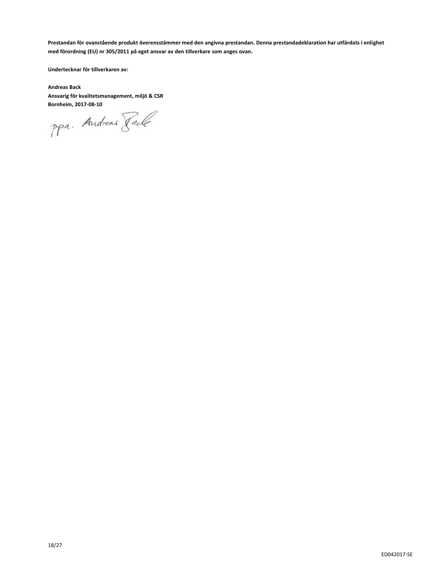**Prestandan för ovanstående produkt överensstämmer med den angivna prestandan. Denna prestandadeklaration har utfärdats i enlighet med förordning (EU) nr 305/2011 på eget ansvar av den tillverkare som anges ovan.**

**Undertecknar för tillverkaren av:**

**Andreas Back Ansvarig för kvalitetsmanagement, miljö & CSR**

**Bornheim, 2017-08-10**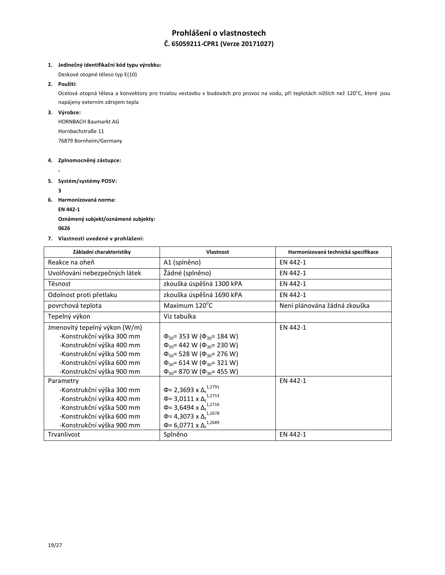# **Prohlášení o vlastnostech Č. 65059211-CPR1 (Verze 20171027)**

#### **1. Jedinečný identifikační kód typu výrobku:**

Deskové otopné těleso typ E(10)

#### **2. Použití:**

Ocelová otopná tělesa a konvektory pro trvalou vestavbu v budovách pro provoz na vodu, při teplotách nižších než 120°C, které jsou napájeny externím zdrojem tepla

#### **3. Výrobce:**

HORNBACH Baumarkt AG Hornbachstraße 11 76879 Bornheim/Germany

#### **4. Zplnomocněný zástupce:**

**-**

**5. Systém/systémy POSV:**

**3**

**6. Harmonizovaná norma:**

**EN 442-1**

**Oznámený subjekt/oznámené subjekty: <sup>0626</sup>** 

**7. Vlastnosti uvedené v prohlášení:**

| Základní charakteristiky      | <b>Vlastnost</b>                             | Harmonizovaná technická specifikace |
|-------------------------------|----------------------------------------------|-------------------------------------|
| Reakce na oheň                | A1 (splněno)                                 | EN 442-1                            |
| Uvolňování nebezpečných látek | Žádné (splněno)                              | EN 442-1                            |
| Těsnost                       | zkouška úspěšná 1300 kPA                     | EN 442-1                            |
| Odolnost proti přetlaku       | zkouška úspěšná 1690 kPA                     | EN 442-1                            |
| povrchová teplota             | Maximum 120°C                                | Není plánována žádná zkouška        |
| Tepelný výkon                 | Viz tabulka                                  |                                     |
| Jmenovitý tepelný výkon (W/m) |                                              | EN 442-1                            |
| -Konstrukční výška 300 mm     | $\Phi_{50}$ = 353 W ( $\Phi_{30}$ = 184 W)   |                                     |
| -Konstrukční výška 400 mm     | $\Phi_{50}$ = 442 W ( $\Phi_{30}$ = 230 W)   |                                     |
| -Konstrukční výška 500 mm     | $\Phi_{50}$ = 528 W ( $\Phi_{30}$ = 276 W)   |                                     |
| -Konstrukční výška 600 mm     | $\Phi_{50}$ = 614 W ( $\Phi_{30}$ = 321 W)   |                                     |
| -Konstrukční výška 900 mm     | $\Phi_{50}$ = 870 W ( $\Phi_{30}$ = 455 W)   |                                     |
| Parametry                     |                                              | EN 442-1                            |
| -Konstrukční výška 300 mm     | Φ= 2,3693 x Δ <sub>t</sub> <sup>1,2791</sup> |                                     |
| -Konstrukční výška 400 mm     | $\Phi$ = 3,0111 x $\Delta$ <sup>1,2753</sup> |                                     |
| -Konstrukční výška 500 mm     | Φ= 3,6494 x $Δ_t$ <sup>1,2716</sup>          |                                     |
| -Konstrukční výška 600 mm     | Φ= 4,3073 x $Δ_t$ <sup>1,2678</sup>          |                                     |
| -Konstrukční výška 900 mm     | $\Phi$ = 6,0771 x $\Delta_t^{1,2689}$        |                                     |
| Trvanlivost                   | Splněno                                      | EN 442-1                            |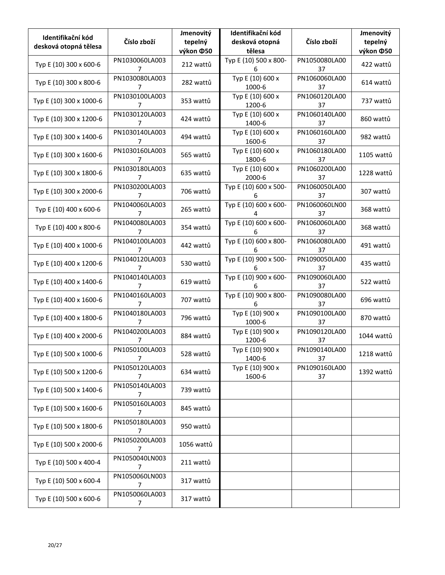| Identifikační kód<br>desková otopná tělesa | Číslo zboží                      | Jmenovitý<br>tepelný<br>výkon ¢50 | Identifikační kód<br>desková otopná<br>tělesa | Číslo zboží         | Jmenovitý<br>tepelný<br>výkon ¢50 |
|--------------------------------------------|----------------------------------|-----------------------------------|-----------------------------------------------|---------------------|-----------------------------------|
| Typ E (10) 300 x 600-6                     | PN1030060LA003<br>7              | 212 wattů                         | Typ E (10) 500 x 800-<br>6                    | PN1050080LA00<br>37 | 422 wattů                         |
| Typ E (10) 300 x 800-6                     | PN1030080LA003<br>7              | 282 wattů                         | Typ E (10) 600 x<br>1000-6                    | PN1060060LA00<br>37 | 614 wattů                         |
| Typ E (10) 300 x 1000-6                    | PN1030100LA003<br>7              | 353 wattů                         | Typ E (10) 600 x<br>1200-6                    | PN1060120LA00<br>37 | 737 wattů                         |
| Typ E (10) 300 x 1200-6                    | PN1030120LA003<br>7              | 424 wattů                         | Typ E (10) 600 x<br>1400-6                    | PN1060140LA00<br>37 | 860 wattů                         |
| Typ E (10) 300 x 1400-6                    | PN1030140LA003<br>7              | 494 wattů                         | Typ E (10) 600 x<br>1600-6                    | PN1060160LA00<br>37 | 982 wattů                         |
| Typ E (10) 300 x 1600-6                    | PN1030160LA003<br>7              | 565 wattů                         | Typ E (10) 600 x<br>1800-6                    | PN1060180LA00<br>37 | 1105 wattů                        |
| Typ E (10) 300 x 1800-6                    | PN1030180LA003<br>7              | 635 wattů                         | Typ E (10) 600 x<br>2000-6                    | PN1060200LA00<br>37 | 1228 wattů                        |
| Typ E (10) 300 x 2000-6                    | PN1030200LA003<br>7              | 706 wattů                         | Typ E (10) 600 x 500-<br>6                    | PN1060050LA00<br>37 | 307 wattů                         |
| Typ E (10) 400 x 600-6                     | PN1040060LA003<br>7              | 265 wattů                         | Typ E (10) 600 x 600-                         | PN1060060LN00<br>37 | 368 wattů                         |
| Typ E (10) 400 x 800-6                     | PN1040080LA003<br>7              | 354 wattů                         | Typ E (10) 600 x 600-<br>6                    | PN1060060LA00<br>37 | 368 wattů                         |
| Typ E (10) 400 x 1000-6                    | PN1040100LA003<br>7              | 442 wattů                         | Typ E (10) 600 x 800-<br>6                    | PN1060080LA00<br>37 | 491 wattů                         |
| Typ E (10) 400 x 1200-6                    | PN1040120LA003<br>7              | 530 wattů                         | Typ E (10) 900 x 500-<br>6                    | PN1090050LA00<br>37 | 435 wattů                         |
| Typ E (10) 400 x 1400-6                    | PN1040140LA003<br>7              | 619 wattů                         | Typ E (10) 900 x 600-<br>6                    | PN1090060LA00<br>37 | 522 wattů                         |
| Typ E (10) 400 x 1600-6                    | PN1040160LA003<br>7              | 707 wattů                         | Typ E (10) 900 x 800-<br>6                    | PN1090080LA00<br>37 | 696 wattů                         |
| Typ E (10) 400 x 1800-6                    | PN1040180LA003<br>7              | 796 wattů                         | Typ E (10) 900 x<br>1000-6                    | PN1090100LA00<br>37 | 870 wattů                         |
| Typ E (10) 400 x 2000-6                    | PN1040200LA003<br>7              | 884 wattů                         | Typ E (10) 900 x<br>1200-6                    | PN1090120LA00<br>37 | 1044 wattů                        |
| Typ E (10) 500 x 1000-6                    | PN1050100LA003<br>7              | 528 wattů                         | Typ E (10) 900 x<br>1400-6                    | PN1090140LA00<br>37 | 1218 wattů                        |
| Typ E (10) 500 x 1200-6                    | PN1050120LA003<br>7              | 634 wattů                         | Typ E (10) 900 x<br>1600-6                    | PN1090160LA00<br>37 | 1392 wattů                        |
| Typ E (10) 500 x 1400-6                    | PN1050140LA003<br>7              | 739 wattů                         |                                               |                     |                                   |
| Typ E (10) 500 x 1600-6                    | PN1050160LA003<br>$\overline{7}$ | 845 wattů                         |                                               |                     |                                   |
| Typ E (10) 500 x 1800-6                    | PN1050180LA003<br>$\overline{7}$ | 950 wattů                         |                                               |                     |                                   |
| Typ E (10) 500 x 2000-6                    | PN1050200LA003<br>7              | 1056 wattů                        |                                               |                     |                                   |
| Typ E (10) 500 x 400-4                     | PN1050040LN003<br>7              | 211 wattů                         |                                               |                     |                                   |
| Typ E (10) 500 x 600-4                     | PN1050060LN003<br>7              | 317 wattů                         |                                               |                     |                                   |
| Typ E (10) 500 x 600-6                     | PN1050060LA003<br>7              | 317 wattů                         |                                               |                     |                                   |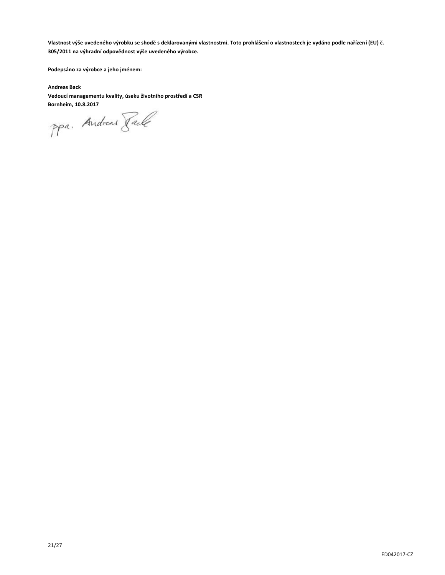**Vlastnost výše uvedeného výrobku se shodě s deklarovanými vlastnostmi. Toto prohlášení o vlastnostech je vydáno podle nařízení (EU) č. 305/2011 na výhradní odpovědnost výše uvedeného výrobce.**

**Podepsáno za výrobce a jeho jménem:**

**Andreas Back Vedoucí managementu kvality, úseku životního prostředí a CSR**

**Bornheim, 10.8.2017**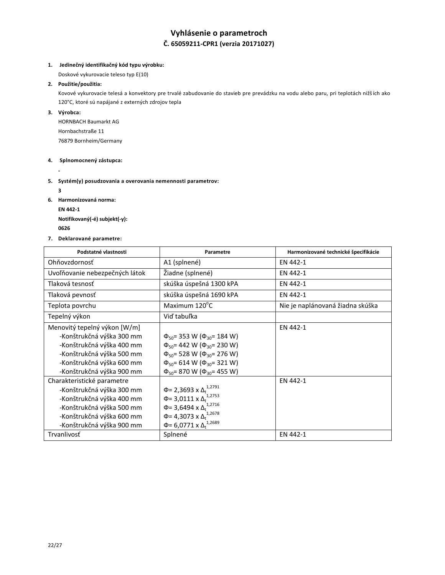# **Vyhlásenie o parametroch Č. 65059211-CPR1 (verzia 20171027)**

#### **1. Jedinečný identifikačný kód typu výrobku:**

Doskové vykurovacie teleso typ E(10)

#### **2. Použitie/použitia:**

Kovové vykurovacie telesá a konvektory pre trvalé zabudovanie do stavieb pre prevádzku na vodu alebo paru, pri teplotách nižších ako 120°C, ktoré sú napájané z externých zdrojov tepla

#### **3. Výrobca:**

HORNBACH Baumarkt AG Hornbachstraße 11 76879 Bornheim/Germany

#### **4. Splnomocnený zástupca:**

**-**

#### **5. Systém(y) posudzovania a overovania nemennosti parametrov:**

**3**

- **6. Harmonizovaná norma:**
	- **EN 442-1**

**Notifikovaný(-é) subjekt(-y): <sup>0626</sup>** 

**7. Deklarované parametre:**

| Podstatné vlastnosti           | Parametre                                                 | Harmonizované technické špecifikácie |
|--------------------------------|-----------------------------------------------------------|--------------------------------------|
| Ohňovzdornosť                  | A1 (splnené)                                              | EN 442-1                             |
| Uvoľňovanie nebezpečných látok | Žiadne (splnené)                                          | EN 442-1                             |
| Tlaková tesnosť                | skúška úspešná 1300 kPA                                   | EN 442-1                             |
| Tlaková pevnosť                | skúška úspešná 1690 kPA                                   | EN 442-1                             |
| Teplota povrchu                | Maximum 120°C                                             | Nie je naplánovaná žiadna skúška     |
| Tepelný výkon                  | Viď tabuľka                                               |                                      |
| Menovitý tepelný výkon [W/m]   |                                                           | EN 442-1                             |
| -Konštrukčná výška 300 mm      | $\Phi_{50}$ = 353 W ( $\Phi_{30}$ = 184 W)                |                                      |
| -Konštrukčná výška 400 mm      | $\Phi_{50}$ = 442 W ( $\Phi_{30}$ = 230 W)                |                                      |
| -Konštrukčná výška 500 mm      | $\Phi_{50}$ = 528 W ( $\Phi_{30}$ = 276 W)                |                                      |
| -Konštrukčná výška 600 mm      | $\Phi_{50}$ = 614 W ( $\Phi_{30}$ = 321 W)                |                                      |
| -Konštrukčná výška 900 mm      | $\Phi_{50}$ = 870 W ( $\Phi_{30}$ = 455 W)                |                                      |
| Charakteristické parametre     |                                                           | EN 442-1                             |
| -Konštrukčná výška 300 mm      | Φ= 2,3693 x Δ <sub>t</sub> <sup>1,2791</sup>              |                                      |
| -Konštrukčná výška 400 mm      | $\Phi$ = 3,0111 x $\Delta$ <sub>t</sub> <sup>1,2753</sup> |                                      |
| -Konštrukčná výška 500 mm      | Φ= 3,6494 x $Δ_t$ <sup>1,2716</sup>                       |                                      |
| -Konštrukčná výška 600 mm      | Φ= 4,3073 x $Δ_t$ <sup>1,2678</sup>                       |                                      |
| -Konštrukčná výška 900 mm      | $\Phi$ = 6,0771 x $\Delta_t^{1,2689}$                     |                                      |
| Trvanlivosť                    | Splnené                                                   | EN 442-1                             |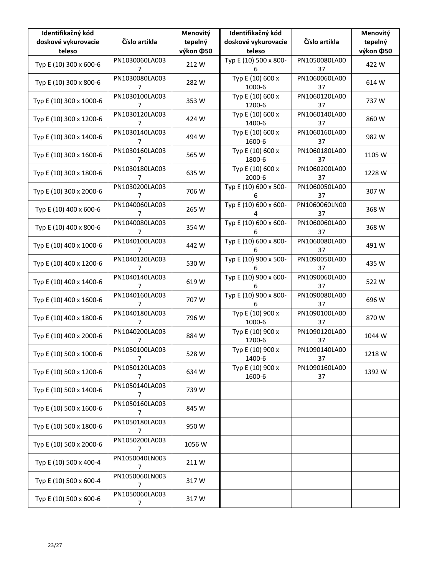| Identifikačný kód<br>doskové vykurovacie<br>teleso | Číslo artikla                    | Menovitý<br>tepelný<br>výkon ¢50 | Identifikačný kód<br>doskové vykurovacie<br>teleso | Číslo artikla       | Menovitý<br>tepelný<br>výkon ¢50 |
|----------------------------------------------------|----------------------------------|----------------------------------|----------------------------------------------------|---------------------|----------------------------------|
| Typ E (10) 300 x 600-6                             | PN1030060LA003<br>7              | 212 W                            | Typ E (10) 500 x 800-<br>6                         | PN1050080LA00<br>37 | 422 W                            |
| Typ E (10) 300 x 800-6                             | PN1030080LA003<br>7              | 282W                             | Typ E (10) 600 x<br>1000-6                         | PN1060060LA00<br>37 | 614 W                            |
| Typ E (10) 300 x 1000-6                            | PN1030100LA003<br>7              | 353W                             | Typ E (10) 600 x<br>1200-6                         | PN1060120LA00<br>37 | 737W                             |
| Typ E (10) 300 x 1200-6                            | PN1030120LA003<br>7              | 424 W                            | Typ E (10) 600 x<br>1400-6                         | PN1060140LA00<br>37 | 860W                             |
| Typ E (10) 300 x 1400-6                            | PN1030140LA003<br>7              | 494 W                            | Typ E (10) 600 x<br>1600-6                         | PN1060160LA00<br>37 | 982W                             |
| Typ E (10) 300 x 1600-6                            | PN1030160LA003<br>7              | 565 W                            | Typ E (10) 600 x<br>1800-6                         | PN1060180LA00<br>37 | 1105 W                           |
| Typ E (10) 300 x 1800-6                            | PN1030180LA003<br>$\overline{7}$ | 635W                             | Typ E (10) 600 x<br>2000-6                         | PN1060200LA00<br>37 | 1228 W                           |
| Typ E (10) 300 x 2000-6                            | PN1030200LA003<br>$\overline{7}$ | 706 W                            | Typ E (10) 600 x 500-<br>6                         | PN1060050LA00<br>37 | 307W                             |
| Typ E (10) 400 x 600-6                             | PN1040060LA003<br>7              | 265 W                            | Typ E (10) 600 x 600-<br>4                         | PN1060060LN00<br>37 | 368 W                            |
| Typ E (10) 400 x 800-6                             | PN1040080LA003<br>7              | 354 W                            | Typ E (10) 600 x 600-<br>6                         | PN1060060LA00<br>37 | 368 W                            |
| Typ E (10) 400 x 1000-6                            | PN1040100LA003<br>7              | 442 W                            | Typ E (10) 600 x 800-<br>6                         | PN1060080LA00<br>37 | 491W                             |
| Typ E (10) 400 x 1200-6                            | PN1040120LA003<br>7              | 530W                             | Typ E (10) 900 x 500-<br>6                         | PN1090050LA00<br>37 | 435W                             |
| Typ E (10) 400 x 1400-6                            | PN1040140LA003<br>7              | 619 W                            | Typ E (10) 900 x 600-<br>6                         | PN1090060LA00<br>37 | 522W                             |
| Typ E (10) 400 x 1600-6                            | PN1040160LA003<br>$\overline{7}$ | 707 W                            | Typ E (10) 900 x 800-<br>6                         | PN1090080LA00<br>37 | 696 W                            |
| Typ E (10) 400 x 1800-6                            | PN1040180LA003<br>$\overline{7}$ | 796 W                            | Typ E (10) 900 x<br>1000-6                         | PN1090100LA00<br>37 | 870W                             |
| Typ E (10) 400 x 2000-6                            | PN1040200LA003<br>7              | 884W                             | Typ E (10) 900 x<br>1200-6                         | PN1090120LA00<br>37 | 1044 W                           |
| Typ E (10) 500 x 1000-6                            | PN1050100LA003<br>7              | 528 W                            | Typ E (10) 900 x<br>1400-6                         | PN1090140LA00<br>37 | 1218 W                           |
| Typ E (10) 500 x 1200-6                            | PN1050120LA003<br>7              | 634 W                            | Typ E (10) 900 x<br>1600-6                         | PN1090160LA00<br>37 | 1392W                            |
| Typ E (10) 500 x 1400-6                            | PN1050140LA003<br>7              | 739 W                            |                                                    |                     |                                  |
| Typ E (10) 500 x 1600-6                            | PN1050160LA003<br>$\overline{7}$ | 845 W                            |                                                    |                     |                                  |
| Typ E (10) 500 x 1800-6                            | PN1050180LA003<br>$\overline{7}$ | 950W                             |                                                    |                     |                                  |
| Typ E (10) 500 x 2000-6                            | PN1050200LA003<br>7              | 1056 W                           |                                                    |                     |                                  |
| Typ E (10) 500 x 400-4                             | PN1050040LN003<br>7              | 211 W                            |                                                    |                     |                                  |
| Typ E (10) 500 x 600-4                             | PN1050060LN003<br>7              | 317 W                            |                                                    |                     |                                  |
| Typ E (10) 500 x 600-6                             | PN1050060LA003<br>7              | 317 W                            |                                                    |                     |                                  |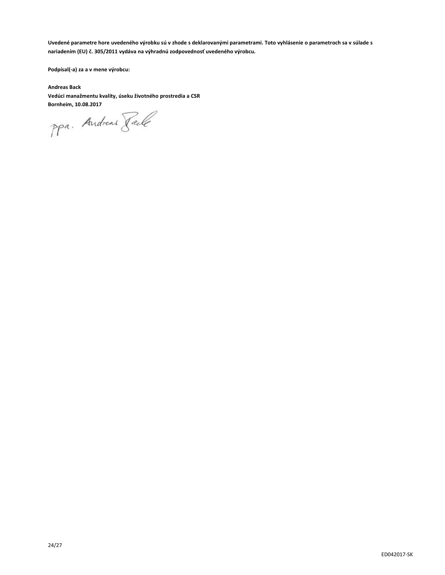**Uvedené parametre hore uvedeného výrobku sú v zhode s deklarovanými parametrami. Toto vyhlásenie o parametroch sa v súlade s nariadením (EU) č. 305/2011 vydáva na výhradnú zodpovednosť uvedeného výrobcu.**

**Podpísal(-a) za a v mene výrobcu:**

**Andreas Back Vedúci manažmentu kvality, úseku životného prostredia a CSR**

**Bornheim, 10.08.2017**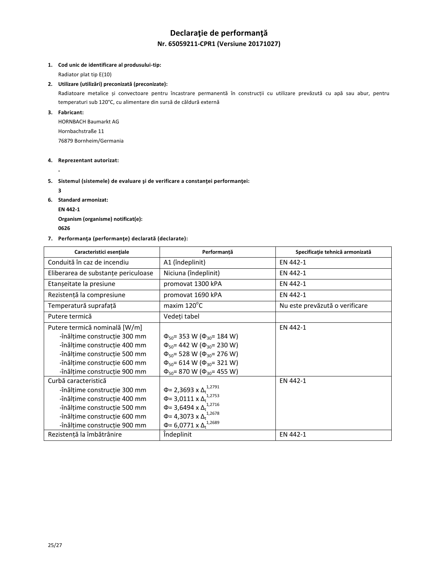# **Declaraţie de performanţă Nr. 65059211-CPR1 (Versiune 20171027)**

#### **1. Cod unic de identificare al produsului-tip:**

Radiator plat tip E(10)

#### **2. Utilizare (utilizări) preconizată (preconizate):**

Radiatoare metalice și convectoare pentru încastrare permanentă în construcții cu utilizare prevăzută cu apă sau abur, pentru temperaturi sub 120°C, cu alimentare din sursă de căldură externă

#### **3. Fabricant:**

HORNBACH Baumarkt AG Hornbachstraße 11 76879 Bornheim/Germania

#### **4. Reprezentant autorizat:**

**-**

#### **5. Sistemul (sistemele) de evaluare şi de verificare a constanţei performanţei:**

**3**

- **6. Standard armonizat:**
	- **EN 442-1**

**Organism (organisme) notificat(e): <sup>0626</sup>** 

### **7. Performanţa (performanţe) declarată (declarate):**

| Caracteristici esențiale            | Performanță                                  | Specificație tehnică armonizată |
|-------------------------------------|----------------------------------------------|---------------------------------|
| Conduită în caz de incendiu         | A1 (îndeplinit)                              | EN 442-1                        |
| Eliberarea de substanțe periculoase | Niciuna (îndeplinit)                         | EN 442-1                        |
| Etanșeitate la presiune             | promovat 1300 kPA                            | EN 442-1                        |
| Rezistență la compresiune           | promovat 1690 kPA                            | EN 442-1                        |
| Temperatură suprafață               | maxim 120°C                                  | Nu este prevăzută o verificare  |
| Putere termică                      | Vedeți tabel                                 |                                 |
| Putere termică nominală [W/m]       |                                              | EN 442-1                        |
| -înălțime construcție 300 mm        | $\Phi_{50}$ = 353 W ( $\Phi_{30}$ = 184 W)   |                                 |
| -înălțime construcție 400 mm        | $\Phi_{50}$ = 442 W ( $\Phi_{30}$ = 230 W)   |                                 |
| -înălțime construcție 500 mm        | $\Phi_{50}$ = 528 W ( $\Phi_{30}$ = 276 W)   |                                 |
| -înăltime constructie 600 mm        | $\Phi_{50}$ = 614 W ( $\Phi_{30}$ = 321 W)   |                                 |
| -înălțime construcție 900 mm        | $\Phi_{50}$ = 870 W ( $\Phi_{30}$ = 455 W)   |                                 |
| Curbă caracteristică                |                                              | EN 442-1                        |
| -înălțime construcție 300 mm        | Φ= 2,3693 x Δ <sub>t</sub> <sup>1,2791</sup> |                                 |
| -înălțime construcție 400 mm        | $\Phi$ = 3,0111 x $\Delta_t^{1,2753}$        |                                 |
| -înălțime construcție 500 mm        | Φ= 3,6494 x $Δ_t$ <sup>1,2716</sup>          |                                 |
| -înălțime construcție 600 mm        | Φ= 4,3073 x $Δ_t$ <sup>1,2678</sup>          |                                 |
| -înălțime construcție 900 mm        | $\Phi$ = 6,0771 x $\Delta_t^{1,2689}$        |                                 |
| Rezistență la îmbătrânire           | Îndeplinit                                   | EN 442-1                        |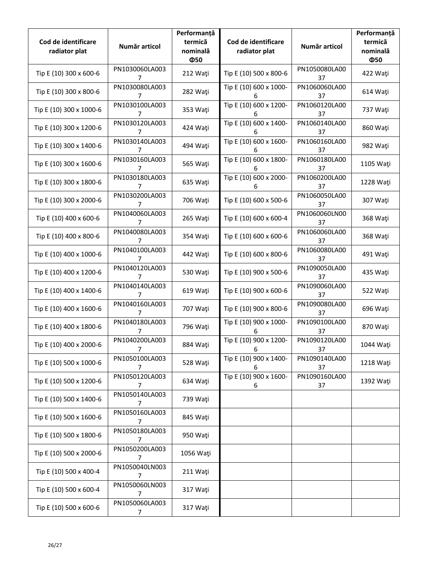| Cod de identificare<br>radiator plat | Număr articol                    | Performanță<br>termică<br>nominală<br>Ф50 | Cod de identificare<br>radiator plat | Număr articol       | Performanță<br>termică<br>nominală<br>Ф50 |
|--------------------------------------|----------------------------------|-------------------------------------------|--------------------------------------|---------------------|-------------------------------------------|
| Tip E (10) 300 x 600-6               | PN1030060LA003<br>7              | 212 Wati                                  | Tip E (10) 500 x 800-6               | PN1050080LA00<br>37 | 422 Waţi                                  |
| Tip E (10) 300 x 800-6               | PN1030080LA003<br>7              | 282 Waţi                                  | Tip E (10) 600 x 1000-<br>6          | PN1060060LA00<br>37 | 614 Wati                                  |
| Tip E (10) 300 x 1000-6              | PN1030100LA003<br>7              | 353 Waţi                                  | Tip E (10) 600 x 1200-<br>6          | PN1060120LA00<br>37 | 737 Waţi                                  |
| Tip E (10) 300 x 1200-6              | PN1030120LA003<br>7              | 424 Wati                                  | Tip E (10) 600 x 1400-<br>6          | PN1060140LA00<br>37 | 860 Waţi                                  |
| Tip E (10) 300 x 1400-6              | PN1030140LA003<br>7              | 494 Waţi                                  | Tip E (10) 600 x 1600-<br>6          | PN1060160LA00<br>37 | 982 Wati                                  |
| Tip E (10) 300 x 1600-6              | PN1030160LA003<br>7              | 565 Wati                                  | Tip E (10) 600 x 1800-<br>6          | PN1060180LA00<br>37 | 1105 Wati                                 |
| Tip E (10) 300 x 1800-6              | PN1030180LA003<br>$\overline{7}$ | 635 Waţi                                  | Tip E (10) 600 x 2000-<br>6          | PN1060200LA00<br>37 | 1228 Wati                                 |
| Tip E (10) 300 x 2000-6              | PN1030200LA003<br>7              | 706 Wati                                  | Tip E (10) 600 x 500-6               | PN1060050LA00<br>37 | 307 Wati                                  |
| Tip E (10) 400 x 600-6               | PN1040060LA003<br>7              | 265 Wati                                  | Tip E (10) 600 x 600-4               | PN1060060LN00<br>37 | 368 Wati                                  |
| Tip E (10) 400 x 800-6               | PN1040080LA003<br>7              | 354 Wati                                  | Tip E (10) 600 x 600-6               | PN1060060LA00<br>37 | 368 Wati                                  |
| Tip E (10) 400 x 1000-6              | PN1040100LA003<br>7              | 442 Wati                                  | Tip E (10) 600 x 800-6               | PN1060080LA00<br>37 | 491 Wati                                  |
| Tip E (10) 400 x 1200-6              | PN1040120LA003<br>7              | 530 Wati                                  | Tip E (10) 900 x 500-6               | PN1090050LA00<br>37 | 435 Wati                                  |
| Tip E (10) 400 x 1400-6              | PN1040140LA003<br>7              | 619 Wati                                  | Tip E (10) 900 x 600-6               | PN1090060LA00<br>37 | 522 Waţi                                  |
| Tip E (10) 400 x 1600-6              | PN1040160LA003<br>7              | 707 Waţi                                  | Tip E (10) 900 x 800-6               | PN1090080LA00<br>37 | 696 Waţi                                  |
| Tip E (10) 400 x 1800-6              | PN1040180LA003<br>7              | 796 Waţi                                  | Tip E (10) 900 x 1000-<br>6          | PN1090100LA00<br>37 | 870 Waţi                                  |
| Tip E (10) 400 x 2000-6              | PN1040200LA003<br>$\overline{7}$ | 884 Wati                                  | Tip E (10) 900 x 1200-<br>6          | PN1090120LA00<br>37 | 1044 Wati                                 |
| Tip E (10) 500 x 1000-6              | PN1050100LA003<br>7              | 528 Wati                                  | Tip E (10) 900 x 1400-<br>6          | PN1090140LA00<br>37 | 1218 Wati                                 |
| Tip E (10) 500 x 1200-6              | PN1050120LA003<br>7              | 634 Wati                                  | Tip E (10) 900 x 1600-<br>6          | PN1090160LA00<br>37 | 1392 Waţi                                 |
| Tip E (10) 500 x 1400-6              | PN1050140LA003<br>7              | 739 Wati                                  |                                      |                     |                                           |
| Tip E (10) 500 x 1600-6              | PN1050160LA003<br>7              | 845 Waţi                                  |                                      |                     |                                           |
| Tip E (10) 500 x 1800-6              | PN1050180LA003<br>7              | 950 Waţi                                  |                                      |                     |                                           |
| Tip E (10) 500 x 2000-6              | PN1050200LA003<br>7              | 1056 Waţi                                 |                                      |                     |                                           |
| Tip E (10) 500 x 400-4               | PN1050040LN003<br>7              | 211 Waţi                                  |                                      |                     |                                           |
| Tip E (10) 500 x 600-4               | PN1050060LN003<br>7              | 317 Waţi                                  |                                      |                     |                                           |
| Tip E (10) 500 x 600-6               | PN1050060LA003<br>7              | 317 Waţi                                  |                                      |                     |                                           |